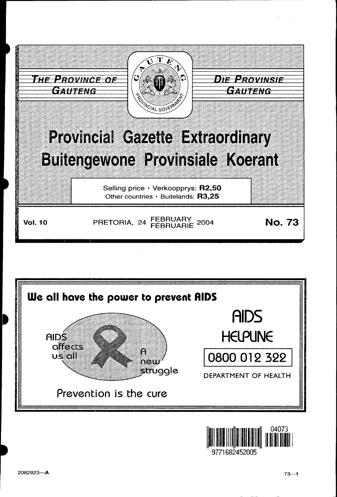



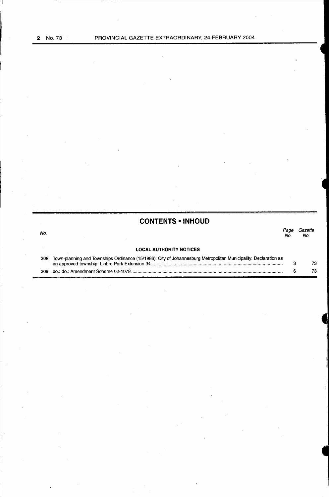No.

| <b>CONTENTS • INHOUD</b> |  |
|--------------------------|--|
|--------------------------|--|

#### *Page Gazette*  No. No.

#### **LOCAL AUTHORITY NOTICES**

| 308 Town-planning and Townships Ordinance (15/1986): City of Johannesburg Metropolitan Municipality: Declaration as |  |  |
|---------------------------------------------------------------------------------------------------------------------|--|--|
|                                                                                                                     |  |  |
|                                                                                                                     |  |  |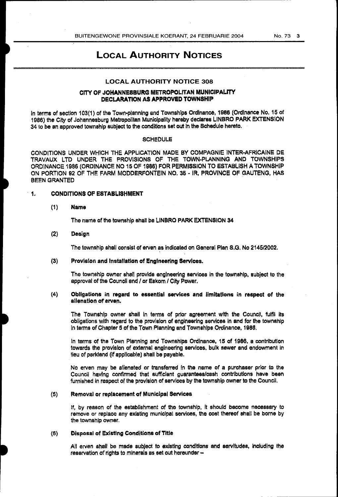#### No. 73 3

# LOCAL AUTHORITY NOTICES

#### LOCAL AUTHORITY NOTICE 308

#### CITY OF JOHANNESBURG METROPOLITAN MUNICIPALITY DECLARATION AS APPROVED TOWNSHIP

In terms of section 103(1) of the Town-planning and Townships Ordinance, 1986 (Ordinance No. 15 of 1986) the City of Johannesburg Metropolitan Municipality hereby declares LINBRO PARK EXTENSION 34 to be an approved township subject to the conditions set out In the Schedule hereto.

#### **SCHEDULE**

CONDITIONS UNDER WHICH THE APPLICATION MADE BY COMPAGNIE INTER·AFRICAINE DE TRAVAUX LTD UNDER THE PROVISIONS OF THE TOWN-PLANNING AND TOWNSHIPS ORDINANCE 1986 (ORDINANCE NO 15 OF 1986) FOR PERMISSION TO ESTABLISH A TOWNSHIP ON PORTION 92 OF THE FARM MODDERFONTEIN NO. 36 • IR, PROVINCE OF GAUTENG, HAS BEEN GRANTED

#### 1. CONDITIONS OF ESTABLISHMENT

#### (1) Name

The name of the township shall be LINBRO PARK EXTENSION 34

#### (2) Design

The township shall consist of erven as indicated on General Plan S.G. No 2145/2002.

#### (3) Provision and Installation of Engineering Services.

The township owner shall provide engineering services In the township, subject to the approval of the Council and / or Eskom / City Power.

#### (4) Obligations in regard to essential services and limitations in respect of the alienation of erven.

The Township owner shall In terms of prior agreement with the Council, fulfil Its obligations with regard to the provision of engineering services in and for the township in terms of Chapter 5 of the Town Planning and Townships Ordinance, 1988.

In terms of the Town Planning and Townships Ordinance, 15 of 1986, a contribution towards the provision of external engineering services. bulk sewer and endowment in lieu of parkland (if applicable) shall be payable.

No erven may be alienated or transferred in the name of a purchaser prior to the Council having confirmed that sufficient guarantees/cash contributions have been furnished in respect of the provision of services by the township owner to the Council.

#### (5) Removal or replacement of Municipal Services

If, by reason of the establishment of the township, It should become necessary to remove or replace any existing municipal services, the cost thereof shall be borne by the township owner.

#### (6) Disposal of Existing Conditions of Title

All erven shall be made subject to existing conditions and servitudes, including the reservation of rights to minerals as set out hereunder -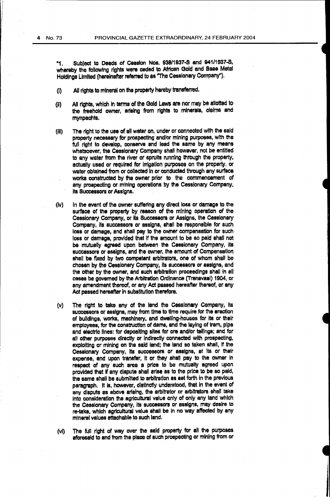"1. Subject to Deeds of Cession Nos. 93811937-s and 941/1937-S, whereby the following rights were ceded to African Gold and Base Metal Holdings Limited (hereinafter referred to as "The Cessionary Company").

- {I) All rights to mineral on the property hereby transferred.
- (ii) All rights, which in terms of the Gold Laws are nor may be allotted to the freehold owner, arising from rights to minerals, claims and mynpachts.
- (iii) The right to the use of all water on, under or connected with the said property necessary for prospecting and/or mining purposes, With the full right to develop, conserve and lead the same by any means whatsoever, the Cessionary Company shall however, not be entitled to any water from the river or spruits running through the property, actually used or required for Irrigation purposes on the property. or water obtained from or collected In or conducted through any surface works constructed by the owner prior to the commencement of any prospecting or mining operations by the Cessionary Company, its Successors or Assigns.
- (lv) In the event of the owner suffering any direct loss or damage to the surface of the property by reason of the mining operation of the Cessionary Company, or Its Successors or Assigns, the Cessionary Company, its successors or assigns, shall be responsible for such loss or damage, and shall pay to the owner compensation for such loss or damage, provided that if the amount to be so paid shall not be mutually agreed upon between the Cessionary Company, its successors or assigns, and the owner, the amount of Compensation shall be fixed by two competent arbitrators, one of whom shall be chosen by the Cessionary Company, its successors or assigns, and the other by the owner, and such arbitration proceedings shall in all cases be governed by the Arbitration Ordinance (Transvaal) 1904, or any amendment thereof, or any Act passed hereafter thereof, or any Act passed hereafter in substitution therefore.
- (v) The right to take any Of the land the Cessionary Company, its successors or assigns, may from time to time require for the erection of buildings, works, machinery, and dWelling-houses for Its or their employees, for the construction of dams, and the laying of tram, pipe and electric lines: for depositing sites for ora and/or tailings; and for all other purposes directly or indirectly connected with prospecting, exploiting or mining on the said land: the lend so taken shall, if the Cessionary Company, its successors or assigns, at its or their expense, and upon transfer, It or they shall pay to the owner In respect af any such area a price to be mutually agreed upon provided that If any dispute shall arise as to the price to be so paid, the same shall be submitted to arbitration as set forth in the previous paragraph. It is, however, distinctly understood, that in the event of any dispute as above arising, the arbitrator or arbitrators shall take into consideration the agricultural value only of only any land which the Cessionary Company, its successors or assigns, may desire to re-take, which agricultural value shall be in no way affected by any mineral values attachable to such land.
- (vi) The full right of way over the said property for all the purposes aforesaid to and from the place of such prospecting or mining from or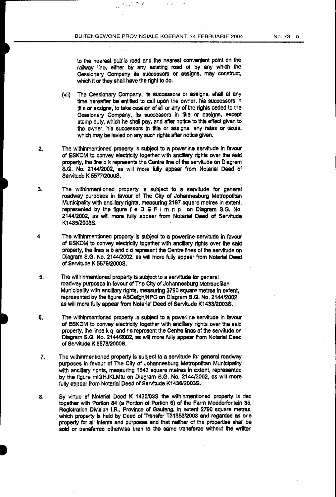公共保险 (8)

 $\label{eq:2.1} \frac{1}{\sqrt{2}}\exp\left(-\frac{1}{2}\left(\frac{1}{\sqrt{2}}\right)^2\right) \frac{d\theta}{d\theta},$ 

to the nearest public road and the nearest convenient point on the railway line, either by any existing road or by any which the Cessionary Company its successors or assigns, may construct, which it or they shall have the right to do.

- (vii) The Cessionary Company, Its successors or assigns, shall at any time hereafter be entitled to call upon the owner, his successors in title or assigns, to take cession of all or any of the rights ceded to the Cessionary Company, its successors in title or assigns, except stemp duty, which he shall pay, and after notice to this effect given to the owner, his successors in title or assigns, any rates or taxes, which may be levied on any such rights after notice given.
- 2. The withlnmentioned property is subject to a powerline servitude in favour of ESKOM to convey electricity together with ancillary rights over the said property, the line b k represents the Centre line of the servitude on Diagram S.G. No. 2144/2002, as will more fully appear from Notarial Deed of Servitude K 5577/2000S.
- 3. The withinmentioned property is subject to a servitude for general roadway purposes in favour of The City of Johannesburg Metropolitan Municipality with ancillary rights, measuring 2197 square metres in extent, represented by the figure  $f \in D \in F$  i m n p on Diagram S.G. No. 2144/2002, as will more fully appear from Notarial Deed of Servitude K1435/2003S.
- 4. The withinmentioned property is subject to a powerline servitude in favour of ESKOM to convey electricity together with ancillary rights over the said property, the lines a bend c d represent the Centre lines of the servitude on Diagram S.G. No. 2144/2002, as will more fully appear from Notarial Deed of Servitude K 5578/20008.
- 5. The withinmentloned property is subject to a servitude for general roadway purposes In favour of The City of Johannesburg Metropolitan Municipality with ancillary rights, measuring 3790 square metres in extent, represented by the figure ABCefghjNPQ on Diagram S.G. No. 2144/2002, as will mora fully appear from Notarial Deed of Servitude K1433/2003S.
- 6. The withlnmentioned property Is subject to a powerline servitude in favour of ESKOM to convey electricity together With ancillary rights over the said property, the lines k q and r s represent the Centre lines of the servitude on Diagram S.G. No. 2144/2002, as will more fully appear from Notarial Oeed of Servitude K 557812000S.
- 7. The withinmentloned property Is subject to a servitude for general roadway purposes in favour of The City of Johannesburg Metropolitan Municipality with ancillary rights, measuring 1543 square metres In extent, represented by the figure mlGHJKLMtu on Diagram S.G. No. 2144/2002, as will more fully appear from Notarial Deed of Servitude K1436/2003S.
- a. By virtue of Notarial Deed K 1430/035 the withinmentioned property is tied together with Portion 84 (a Portion of Portion 6) of the Farm Modderfontein 35, Registration Division I.R., Province of Gauteng, In extent 2790 square metres, which property Is held by Deed of Transfer T31353/2003 and regarded as one property for all Intents and purposes and that neither of the properties shall be sold or transferred otherwise than to the same transferee without the written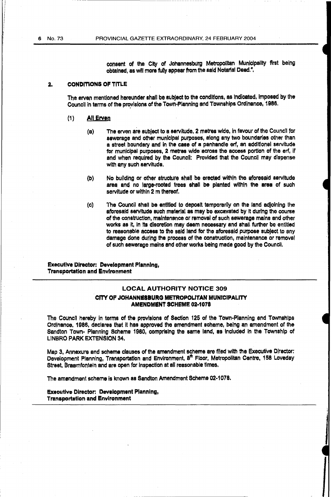consent of the City of Johannesburg Metropolitan Municipality first being obtained, as wnl more fully appear from the said Notarial Dead.".

#### 2. CONDITIONS OF TITLE

The erven mentioned hereunder shall be subject to the conditions, as Indicated, Imposed by the Council in terms of the provisions of the Town-Planning and Townships Ordinance, 1986.

#### (1) All Erven

- (a) The erven are subject to a servitude, 2 metres wide, in favour of the Council for sewerage and other municipal purposes, along any two boundaries other than a street boundary and in the case of a panhandle erf, an additional servitude for municipal purposes, 2 metres wide across the access portion of the erf, if and when required by the Council: Provided that the Council may dispense with any such servitude.
- (b) No building or other structure shall be erected within the aforesaid servitude area and no large-rooted trees shall be planted within the area of such servitude or within 2 m thereof.
- (c) The Council shall be entitled to deposit temporarily on the land adjoining the aforesaid servitude such material as may be excavated by it during the course of the construction, maintenance or removal of such sewerage mains and other works as it, in its discretion may deem necessary and shall further be entitled to reasonable access to the said land for the aforesaid purpose subject to any damage done during the process of the construction, maintenance or removal of such sewerage mains and other works being made good by the Council.

#### Executive Director: Development Planning, Transportation and Environment

#### LOCAL AUTHORITY NOTICE 309

#### CITY OF JOHANNESBURG METROPOLITAN MUNICIPALITY AMENDMENT SCHEME 02·1078

The Council hereby in terms of the provisions of Section 125 of the Town-Planning and Townships Ordinance, 1986, declares that it has approved the amendment scheme, being an amendment of the Sandton Town- Planning Scheme 1980, comprising the same land, as Included in the Township of LINBRO PARK EXTENSION 34.

Map 3, Annexure and scheme clauses of the amendment scheme are filed with the Executive Director: Development Planning, Transportation and Environment, 8<sup>th</sup> Floor, Metropolitan Centre, 158 Loveday Street, Braamtontein and are open for Inspection at all reasonable times.

The amendment scheme is known as Sandton Amendment Scheme 02-1078.

#### Executive Director: Development Planning, Transportation and Environment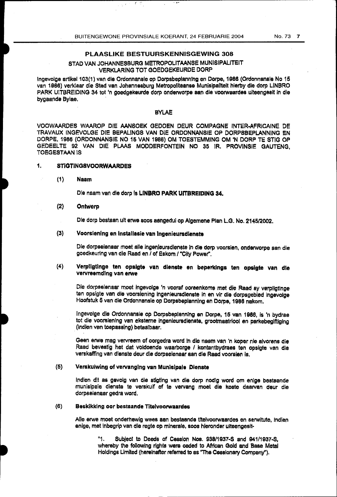## PLAASLIKE BESTUURSKENNISGEWING 308

### STAD VAN JOHANNESBURG METROPOLITAANSE MUNISIPALITEIT VERKLARING TOT GOEDGEKEURDE DORP

lngevolge artlke1103(1) van die Ordonnansle op Oorpsbeplann!ng en Dorpe, 1988 (Ordonnansle No 15 van 1988) verklaar die Stad van Johannesburg Metropoliteanse Munisipallteit hierby die dorp LINBRO PARK UITBREIDING 34 tot 'n goedgekeurde dorp onderworpe aan die voorwaardes uiteengesit in die bygaande Bylae,

#### BYLAE

VOOWAAROES WAAROP DIE AANSOEK GEOOEN DEUR COMPAGNE INTER-AFRICAINE DE TRAVAUX INGEVOLGE DIE BEPALINGS VAN DIE ORDONNANSIE OP DORPSBEPLANNING EN DORPE, 1986 (OROONNANSIE NO 16 VAN 1986) OM TOESTEMMING OM 'N DORF' TE STIG OP GEDEELTE 92 VAN DIE PI.AAS MODDERFONTEIN NO 35 IR. PROVINSIE GAUTENG, TOEGESTAAN IS

#### 1, STIGTINGSVOORWAARDES

#### (1) Naam

Die naam van die dorp is LINBRO PARK UITBREIDING 34.

#### (2) Ontwerp

Ole dorp bestean uit erwe soos aangedui op Algemene Plan L.G. No. 214512002.

#### (3) Voorslening en lnstallasie van lngenieursdienste

Die dorpseienaar moet aile ingenleursdienste in die dorp voorsien, onderworpe san die goedkeuring van die Raad en / of Eskom / "City Power".

#### (4) Verpllgtlnge ten opalgte van dienste en beperkings ten opsigte van die vervreemdlng van erwe

Ole dorpseienaar moet ingevolge 'n vooraf ooreenkoms met die Raad sy verpllgtlnge ten opsigte van die voorsiening ingenieursdlenste in en vir die dorpsgebied ingevolge Hoofstuk 5 van die Ordonnansle op Oorpsbeplannlng en Dorpe, 1988 nakom.

lngevotge die Ordonnansie op Dorpsbeplanning en Oorpe, 15 van 1986, is 'n bydrae tof die voorsienlng van eksteme ingenleursdienste, grootmaatriool en parkebegiftiglng (indlen ven toepassing) betaalbaar.

Geen erwe mag vervreem of oorgedra word in die naam van 'n koper nie alvorens die Raad bevestig het dat voldoende waarborge I kontantbydraes ten opslgte van die verskafflng van dienste deur die dorpselenaar san die Raad voorsien Is.

### (5) Verskuiwing of vervanging van Munisipale Dienste

Indien dit as gevolg van die stigting van die dorp nodig word om enige bestaande munislpale dienste te verskuif of te vervang moet die koste daarvan daur die dorpseienaar gedra word.

#### (6) Beskikking oor bestaande Titelvoorwaardes

Aile erwe moet onderhawig wees aan bestaande tltelvoorwaardes en serwitute, lndien enlge, met inbegrip van die regte op mlnerale, soos hleronder uiteengesit-

> "1. Subject to Deeds of Cession Nos. 938/1937-S and 941/1937-8, whereby the following rights were ceded to African Gold and Base Metal Holdings Limited (hereinafter referred to as ''The Cessionary Company").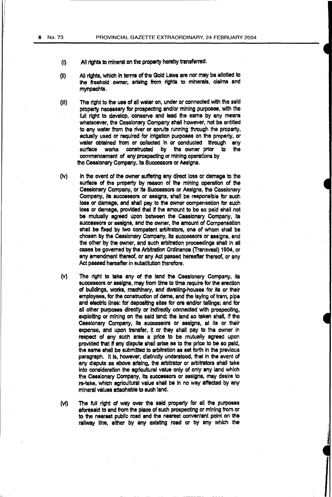- (i) All rights to mineral on the property hereby transferred.
- (II) All rights, which in terms of the Gold Laws are nor may be allotted to the freehold owner, arising from rights to minerals, claims and mynpachts.
- (Ill) The right to the usa of all water on, under or connected With the said property necessary for prospecting and/or mining purposes, with the full right to develop, conserve and lead the same by any means whatsoever, the Cessionary Company shall however, not be entitled to any water from the river or spruits running through the property, actually used or required for irrigation purposes on the property, or water obtained from or collected in or conducted through any surface works constructed by the owner prior to the the owner prior to commencement of any prospecting or mining operations by the Cessionary Company, its Successors or Assigns.
- (iv) In the event of the owner suffering any direct loss or damage to the surface of the property by reason of the mining operation of the Cessionary Company, or its Successors or Assigns, the Cessionary Company, its successors or assigns, shall be responsible for such loss or damage, and shall pay to the owner compensation tor such loss or damage, provided that If the amount to be so paid shall not be mutually agreed upon between the Cessionary Company, its successors or assigns, and the owner, the amount of Compensation shall be fixed by two competent arbitrators, one of whom shall be chosen by the Cessionary Company, Its successors or assigns. and the other by the owner, and such arbitration proceedings shall in all cases be governed by the Arbitration Ordinance (Transvaal) 1904, or any amendment thereof, or any Act passed hereafter thereof, or any Act passed hereafter in substitution therefore.
- (v) The right to take any of the land the Cessionary Company, its successors or assigns, may from time to time require for the erection of buildings, works, machinery, and dwelling-houses for its or their employees, for the construction of dams, and the laying of tram, pipe and electric lines: for depositing sites for ore and/or tailings; and for all other purposes directly or indirectly connected with prospecting, exploiting or mining on the said land; the land so taken shall, If the Cessionary Company, its successors or assigns, at its or their expense, and upon transfer, it or they shall pay to the owner in respect of any such area a price to be mutually agreed upon provided that if any dispute shall arise as to the price to be so paid, the same shall be submitted to arbitration as set forth in the previous paragraph. It Is, however, distinctly understood, that in the event of any dispute as above arising, the arbitrator or arbitrators shall take into consideration the agricultural value only of only any land which the Cessionary Company, Its successors or assigns, may desire to re-take, which agricultural value shall be In no way affected by any mineral values attachable to such land.
- (Vi) The full right of way over the said property for all the purposes aforesaid to and from the place of such prospecting or mining from or to the nearest public road and the nearest convenient point on the railway line, either by any existing road or by any which the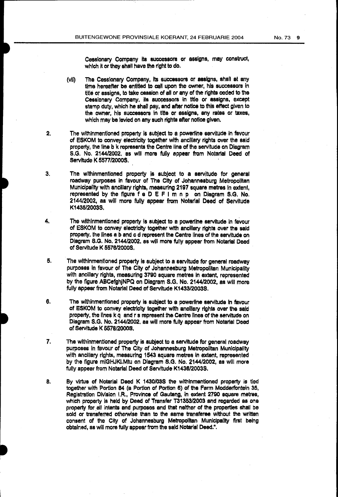Cessionary Company its successors or assigns, may construct, which it or they shall have the right to do.

- (vii) The Cessionary Company, Its successors or assigns, shall at any time hereafter be entitled to call upon the owner, his successors in title or assigns, to take cession of all or any of the rights ceded to the Cessionary Company. its successors in title or assigns, except stamp duty, which he shall pay, and after notice to this effect given to the owner, his successors in title or assigns, any rates or taxes, which may be levied on any such rights after notice given.
- 2. The Withinmentioned property Is subject to a power1ine servitude in favour of ESKOM to convey electricity together with ancillary rights over the said property, the line b k represents the Centre line of the servitude on Diagram S.G. No. 214412002. as will mora fully appear from Notarial Deed of Servitude K 5577/2000S.
- 3. The wlthinmentioned property is subject to a servitude for general roadway purposes in favour of The City of Johannesburg Metropolitan Municipality with ancillary rights, measuring 2197 square metres In extent, represented by the figure f e D E F 1 m n p on Diagram S.G. No. 2144/2002, as will more fully appear from Notarial Deed of Servitude K1435/2003S.
- 4. The withinmentioned property is subject to a powerline servitude in favour of ESKOM to convey electricity together with ancillary rights over the said property. the lines a b and c d represent the Centre lines of the servitude on Diagram S.G. No. 2144/2002. as will more fully appear from Notarial Deed of Servitude K 557812000S.
- 5. The withinmentioned property is subject to a servitude for general roadway purposes In favour of The City of Johannesburg Metropolitan Municipality with ancillary rights, measuring 3790 square metres in extent, represented by the figure ABCefghjNPQ on Diagram S.G. No. 2144/2002, as will more fully appear from Notarial Deed of Servitude K1433/2003S.
- 6. The withinmentioned property is subject to a powerline servitude In favour of ESKOM to convey electricity together with ancillary rights over the said property, the lines k q and r s represent the Centre lines of the servitude on Diagram S.G. No. 2144/2002, as will more fully appear from Notarial Deed of Servitude K 6578/20008.
- 7. The wlthinmentioned property is subject to a servitude for general roadway purposes in favour of The City of Johannesburg Metropolitan Municipality with ancillary rights, measuring 1543 square metres in extent, represented by the figure miGHJKLMtu on Diagram S.G. No. 2144/2002, as will more fully appear from Notarial Deed of Servitude K1438/2003S.
- a. By virtue of Notarial Deed K 1430/03S the wlthlnmentioned property is tied together with Portion 84 (a Portion of Portion 6} of the Farm Modderfbntein 35, Registration Division I.R., Province of Gauteng, in extent 2790 square metres, which property is held by Deed of Transfer T31353/2003 and regarded as one property for all intents and purposes and that neither of the properties shall be sold or transferred otherwise than to the same transferee without the written consent of the City of Johannesburg Metropolitan Municipality first being obtained, as will more fully appear from the said Notarial Deed.".

------· ---------------------------------------------------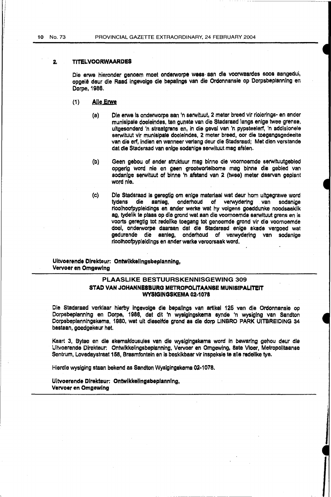#### 2. TITELVOORWAARDES

Die erwe hieronder genoem moet onderworpe wees aan die voorwaardes soos aangedui, opgele deur die Raad ingevolge die bepallngs van die Ordonnansie op Oorpsbeplannlng en Dorpe, 1986.

- (1) Aile Erwe
	- (a) Die erwe Is onderworpe aan 'n serwltuut, 2 meter breed vir riolerings- en ander munisipale doeleindes, ten gunste van die Stadsraad langs enlge twee grense. ultgesonderd 'n straatgrens en, in die geval van 'n pypsteelerf, 'n addisionele serwituut vir munisipale doeleindes, 2 meter breed, oor die toegangsgedeelte van die erf, lndien en wanneer verlang deur die Stadsraad; Met dlen verstande dat die Stadsraad van enlge sodanige serwituut mag afslen.
	- (b) Geen gebou of ander struktuur mag binne die voornoemde serwituutgebled opgerig word nie en geen grootwortelbome meg binne die gebied van sodanlge serwituut of binne 'n afstand van 2 (twee) meter daarvan geplant word nie.
	- (c) Ole Stadsraad is geregtig om enige materiaal wat deur hom ultgegrawe word aanleg, onderhoud of verwydering van sodanige rioolhoofpypleidings en ander werke wat hy volgens goeddunke noodsaaklik ag, tydelik te plaas op die grond wat aan die voomoemde serwituut grens en Is voorts geregtig tot redellke toegang tot genoemde grond vir die voomoemde doel, onderworpe daaraan dat die Stadsread enige skade vergoed wat gedurende die aanleg, onderhoud of verwydering van sodanlge rioolhoofpypleidlngs en ander werke veroorsaak word.

Uitvoerende Dlrekteur: Ontwikkellngsbeplanning, Vervoer en Omgewlng

#### PLAASLIKE BESTUURSKENNISGEWING 309 STAD VAN JOHANNESBURG METROPOLITAANSE MUNISIPALITEIT WYSIGINGSKEMA 02·1078

Die Stadsraad verklaar hierby lngevolge die bepallngs van artikel 125 van die Ordonnansle op Dorpsbeplannlng en Oorpe, 1988, dat dit •n wyslglngskema synde 'n wysiging van Sandton Oorpsbeplannlngskema, 1980, wat uit dleselfde grond as die dorp LINBRO PARK UITBREIDING 34 bestaan, goedgekeur het.

Kaart 3, Bylae en die skemaklousules van die wysigingskema word in bewaring gehou deur die Uitvoerende Direkteur: Ontwikkellngsbeplanning. Vervoer en Omgewing, 8ste Vloer, Metropolltaanse Sentrum, Lovedaystraat 158, Braamfontein en is beskikbaar vir inspeksle te alle redelike tye.

.I

Hierdle wysiging staan bekend as Sandton Wysigingskema 02·1078.

Uitvoerende Dirakteur: Ontwikkelingsbeplannlng, Vervoer en Omgewing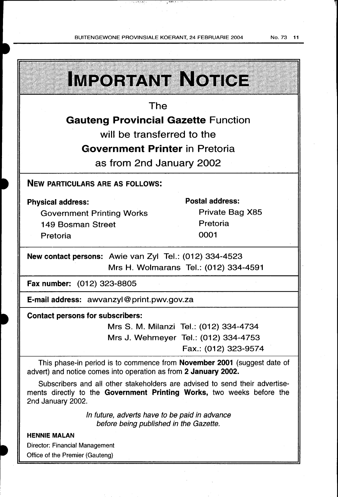| IMPORTANT NOTICE                                                                                                                                                          |                                        |  |  |  |
|---------------------------------------------------------------------------------------------------------------------------------------------------------------------------|----------------------------------------|--|--|--|
| The                                                                                                                                                                       |                                        |  |  |  |
| <b>Gauteng Provincial Gazette Function</b>                                                                                                                                |                                        |  |  |  |
| will be transferred to the                                                                                                                                                |                                        |  |  |  |
| Government Printer in Pretoria                                                                                                                                            |                                        |  |  |  |
| as from 2nd January 2002                                                                                                                                                  |                                        |  |  |  |
| <b>NEW PARTICULARS ARE AS FOLLOWS:</b>                                                                                                                                    |                                        |  |  |  |
| <b>Physical address:</b>                                                                                                                                                  | <b>Postal address:</b>                 |  |  |  |
| <b>Government Printing Works</b>                                                                                                                                          | Private Bag X85                        |  |  |  |
| <b>149 Bosman Street</b>                                                                                                                                                  | Pretoria                               |  |  |  |
| Pretoria                                                                                                                                                                  | 0001                                   |  |  |  |
| New contact persons: Awie van Zyl Tel.: (012) 334-4523                                                                                                                    |                                        |  |  |  |
| Mrs H. Wolmarans Tel.: (012) 334-4591                                                                                                                                     |                                        |  |  |  |
| Fax number: (012) 323-8805                                                                                                                                                |                                        |  |  |  |
| E-mail address: awvanzyl@print.pwv.gov.za                                                                                                                                 |                                        |  |  |  |
| <b>Contact persons for subscribers:</b>                                                                                                                                   |                                        |  |  |  |
|                                                                                                                                                                           | Mrs S. M. Milanzi Tel.: (012) 334-4734 |  |  |  |
|                                                                                                                                                                           | Mrs J. Wehmeyer Tel.: (012) 334-4753   |  |  |  |
|                                                                                                                                                                           | Fax.: (012) 323-9574                   |  |  |  |
| This phase-in period is to commence from <b>November 2001</b> (suggest date of<br>advert) and notice comes into operation as from 2 January 2002.                         |                                        |  |  |  |
| Subscribers and all other stakeholders are advised to send their advertise-<br>ments directly to the Government Printing Works, two weeks before the<br>2nd January 2002. |                                        |  |  |  |
| In future, adverts have to be paid in advance<br>before being published in the Gazette.                                                                                   |                                        |  |  |  |

# HENNIE MALAN

Director: Financial Management Office of the Premier (Gauteng)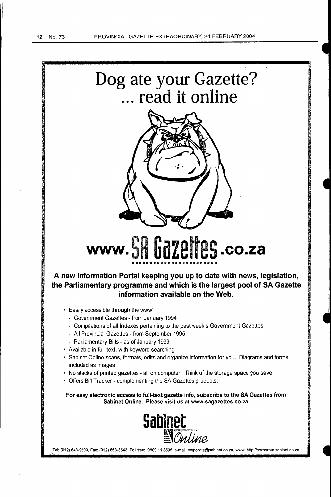

Tel: (012) 643-9500, Fax: (012) 663-3543, Toll free: 0800 11 8595, e-mail: corporate@sabinet.co.za, www: http://corporate.sabinet.co.za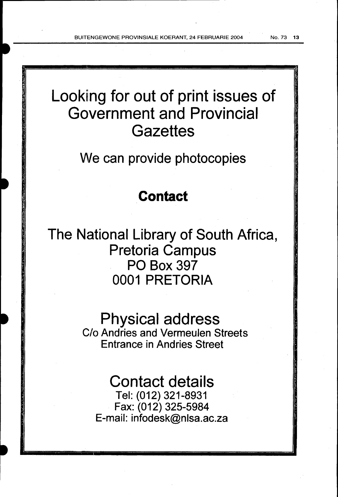Looking for out of print issues of Government and Provincial **Gazettes** 

We can provide photocopies

# **Contact**

The National Library of South Africa, Pretoria Campus PO Box 397 0001 PRETORIA

> Physical address C/o Andries and Vermeulen Streets Entrance in Andries Street

Contact details Tel: (012) 321-8931 Fax: (012) 325-5984 E-mail: infodesk@nlsa.ac.za

-- ------- -----------------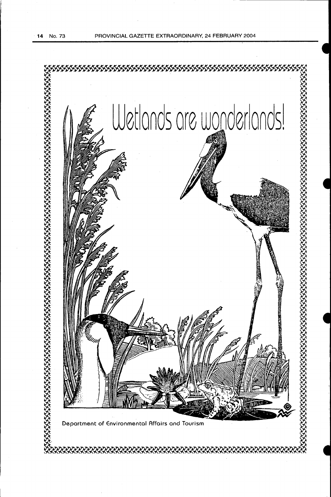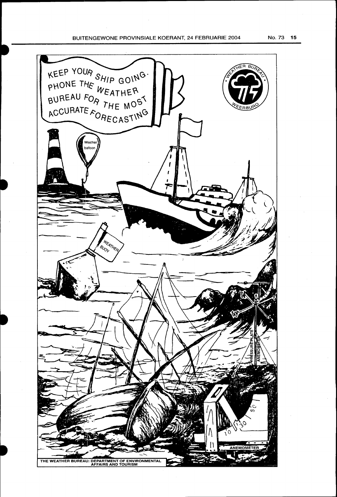